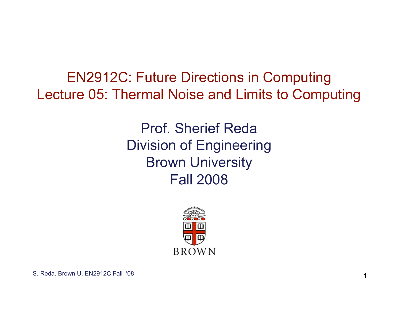EN2912C: Future Directions in Computing Lecture 05: Thermal Noise and Limits to Computing

> Prof. Sherief Reda Division of Engineering Brown University Fall 2008

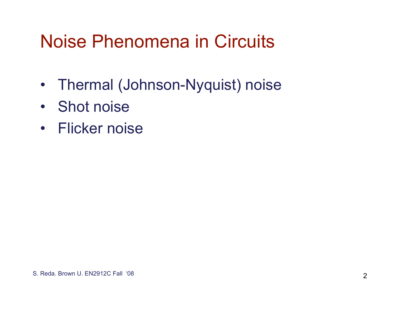# Noise Phenomena in Circuits

- Thermal (Johnson-Nyquist) noise
- Shot noise
- Flicker noise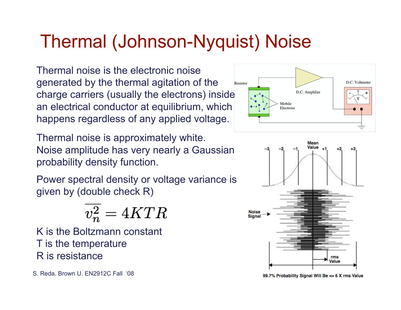# Thermal (Johnson-Nyquist) Noise

Thermal noise is the electronic noise generated by the thermal agitation of the charge carriers (usually the electrons) inside an electrical conductor at equilibrium, which happens regardless of any applied voltage.

Thermal noise is approximately white. Noise amplitude has very nearly a Gaussian probability density function.

Power spectral density or voltage variance is given by (double check R)

$$
\overline{v_n^2} = 4KTR
$$

K is the Boltzmann constant T is the temperature R is resistance





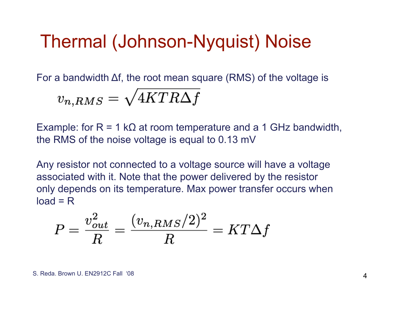### Thermal (Johnson-Nyquist) Noise

For a bandwidth Δf, the root mean square (RMS) of the voltage is

$$
v_{n,RMS}=\sqrt{4KTR\Delta f}
$$

Example: for  $R = 1 k\Omega$  at room temperature and a 1 GHz bandwidth, the RMS of the noise voltage is equal to 0.13 mV

Any resistor not connected to a voltage source will have a voltage associated with it. Note that the power delivered by the resistor only depends on its temperature. Max power transfer occurs when  $load = R$ 

$$
P = \frac{v_{out}^2}{R} = \frac{(v_{n,RMS}/2)^2}{R} = KT\Delta f
$$

S. Reda. Brown U. EN2912C Fall '08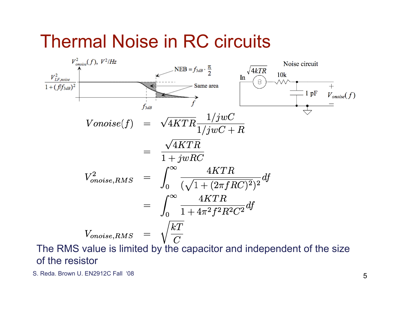#### Thermal Noise in RC circuits



The RMS value is limited by the capacitor and independent of the size of the resistor

S. Reda. Brown U. EN2912C Fall '08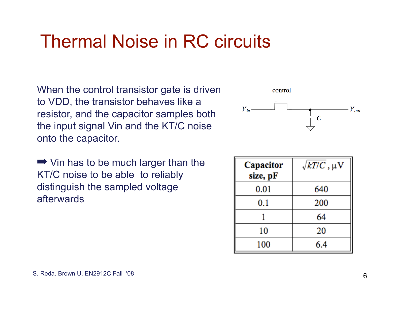# Thermal Noise in RC circuits

When the control transistor gate is driven to VDD, the transistor behaves like a resistor, and the capacitor samples both the input signal Vin and the KT/C noise onto the capacitor.

 $\rightarrow$  Vin has to be much larger than the KT/C noise to be able to reliably distinguish the sampled voltage afterwards



| Capacitor<br>size, pF | $\sqrt{kT/C}$ , $\mu$ V |
|-----------------------|-------------------------|
| 0.01                  | 640                     |
| 0.1                   | 200                     |
|                       | 64                      |
| 10                    | 20                      |
| 100                   | 6.4                     |